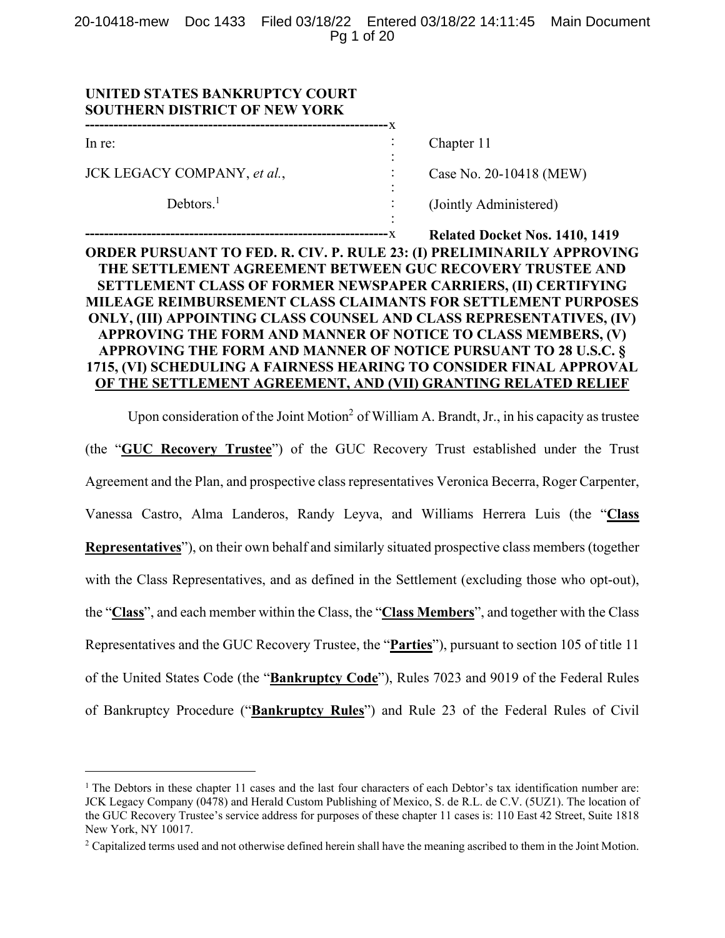20-10418-mew Doc 1433 Filed 03/18/22 Entered 03/18/22 14:11:45 Main Document Pg 1 of 20

| UNITED STATES BANKRUPTCY COURT<br><b>SOUTHERN DISTRICT OF NEW YORK</b> |                                       |
|------------------------------------------------------------------------|---------------------------------------|
| In re:                                                                 | Chapter 11                            |
| JCK LEGACY COMPANY, et al.,                                            | Case No. 20-10418 (MEW)               |
| Debtors. $1$                                                           | (Jointly Administered)                |
| <b>BEIR OFF LATER HOLD FROM</b>                                        | <b>Related Docket Nos. 1410, 1419</b> |

# **ORDER PURSUANT TO FED. R. CIV. P. RULE 23: (I) PRELIMINARILY APPROVING THE SETTLEMENT AGREEMENT BETWEEN GUC RECOVERY TRUSTEE AND SETTLEMENT CLASS OF FORMER NEWSPAPER CARRIERS, (II) CERTIFYING MILEAGE REIMBURSEMENT CLASS CLAIMANTS FOR SETTLEMENT PURPOSES ONLY, (III) APPOINTING CLASS COUNSEL AND CLASS REPRESENTATIVES, (IV) APPROVING THE FORM AND MANNER OF NOTICE TO CLASS MEMBERS, (V) APPROVING THE FORM AND MANNER OF NOTICE PURSUANT TO 28 U.S.C. § 1715, (VI) SCHEDULING A FAIRNESS HEARING TO CONSIDER FINAL APPROVAL OF THE SETTLEMENT AGREEMENT, AND (VII) GRANTING RELATED RELIEF**

Upon consideration of the Joint Motion<sup>2</sup> of William A. Brandt, Jr., in his capacity as trustee

(the "**GUC Recovery Trustee**") of the GUC Recovery Trust established under the Trust Agreement and the Plan, and prospective class representatives Veronica Becerra, Roger Carpenter, Vanessa Castro, Alma Landeros, Randy Leyva, and Williams Herrera Luis (the "**Class Representatives**"), on their own behalf and similarly situated prospective class members (together with the Class Representatives, and as defined in the Settlement (excluding those who opt-out), the "**Class**", and each member within the Class, the "**Class Members**", and together with the Class Representatives and the GUC Recovery Trustee, the "**Parties**"), pursuant to section 105 of title 11 of the United States Code (the "**Bankruptcy Code**"), Rules 7023 and 9019 of the Federal Rules of Bankruptcy Procedure ("**Bankruptcy Rules**") and Rule 23 of the Federal Rules of Civil

<sup>&</sup>lt;sup>1</sup> The Debtors in these chapter 11 cases and the last four characters of each Debtor's tax identification number are: JCK Legacy Company (0478) and Herald Custom Publishing of Mexico, S. de R.L. de C.V. (5UZ1). The location of the GUC Recovery Trustee's service address for purposes of these chapter 11 cases is: 110 East 42 Street, Suite 1818 New York, NY 10017.

<sup>&</sup>lt;sup>2</sup> Capitalized terms used and not otherwise defined herein shall have the meaning ascribed to them in the Joint Motion.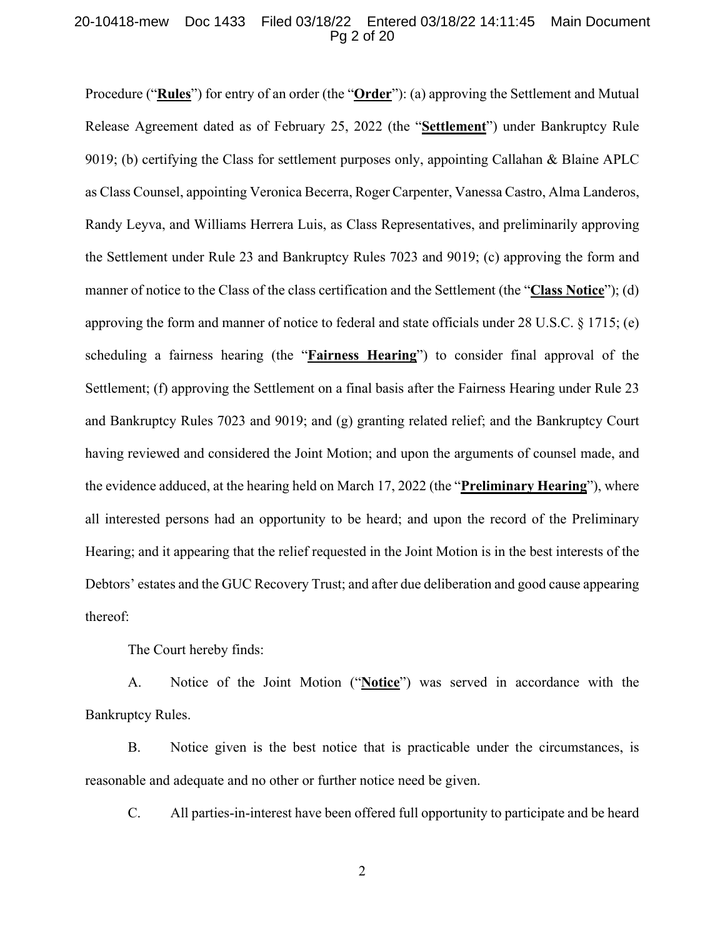#### 20-10418-mew Doc 1433 Filed 03/18/22 Entered 03/18/22 14:11:45 Main Document Pg 2 of 20

Procedure ("**Rules**") for entry of an order (the "**Order**"): (a) approving the Settlement and Mutual Release Agreement dated as of February 25, 2022 (the "**Settlement**") under Bankruptcy Rule 9019; (b) certifying the Class for settlement purposes only, appointing Callahan & Blaine APLC as Class Counsel, appointing Veronica Becerra, Roger Carpenter, Vanessa Castro, Alma Landeros, Randy Leyva, and Williams Herrera Luis, as Class Representatives, and preliminarily approving the Settlement under Rule 23 and Bankruptcy Rules 7023 and 9019; (c) approving the form and manner of notice to the Class of the class certification and the Settlement (the "**Class Notice**"); (d) approving the form and manner of notice to federal and state officials under 28 U.S.C. § 1715; (e) scheduling a fairness hearing (the "**Fairness Hearing**") to consider final approval of the Settlement; (f) approving the Settlement on a final basis after the Fairness Hearing under Rule 23 and Bankruptcy Rules 7023 and 9019; and (g) granting related relief; and the Bankruptcy Court having reviewed and considered the Joint Motion; and upon the arguments of counsel made, and the evidence adduced, at the hearing held on March 17, 2022 (the "**Preliminary Hearing**"), where all interested persons had an opportunity to be heard; and upon the record of the Preliminary Hearing; and it appearing that the relief requested in the Joint Motion is in the best interests of the Debtors' estates and the GUC Recovery Trust; and after due deliberation and good cause appearing thereof:

The Court hereby finds:

A. Notice of the Joint Motion ("**Notice**") was served in accordance with the Bankruptcy Rules.

B. Notice given is the best notice that is practicable under the circumstances, is reasonable and adequate and no other or further notice need be given.

C. All parties-in-interest have been offered full opportunity to participate and be heard

2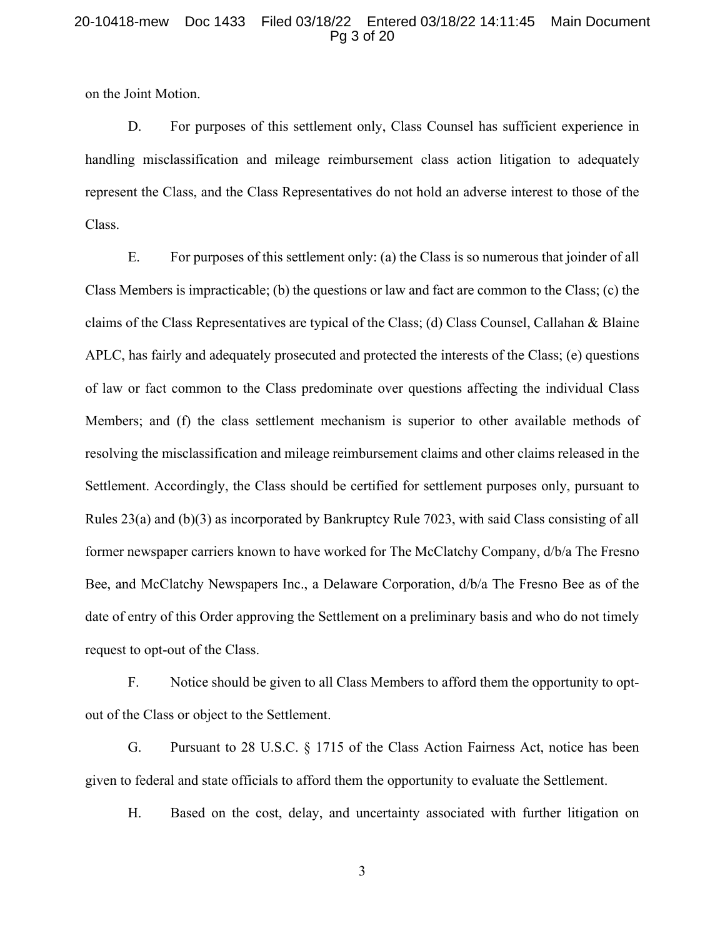### 20-10418-mew Doc 1433 Filed 03/18/22 Entered 03/18/22 14:11:45 Main Document Pg 3 of 20

on the Joint Motion.

D. For purposes of this settlement only, Class Counsel has sufficient experience in handling misclassification and mileage reimbursement class action litigation to adequately represent the Class, and the Class Representatives do not hold an adverse interest to those of the Class.

E. For purposes of this settlement only: (a) the Class is so numerous that joinder of all Class Members is impracticable; (b) the questions or law and fact are common to the Class; (c) the claims of the Class Representatives are typical of the Class; (d) Class Counsel, Callahan & Blaine APLC, has fairly and adequately prosecuted and protected the interests of the Class; (e) questions of law or fact common to the Class predominate over questions affecting the individual Class Members; and (f) the class settlement mechanism is superior to other available methods of resolving the misclassification and mileage reimbursement claims and other claims released in the Settlement. Accordingly, the Class should be certified for settlement purposes only, pursuant to Rules 23(a) and (b)(3) as incorporated by Bankruptcy Rule 7023, with said Class consisting of all former newspaper carriers known to have worked for The McClatchy Company, d/b/a The Fresno Bee, and McClatchy Newspapers Inc., a Delaware Corporation, d/b/a The Fresno Bee as of the date of entry of this Order approving the Settlement on a preliminary basis and who do not timely request to opt-out of the Class.

F. Notice should be given to all Class Members to afford them the opportunity to optout of the Class or object to the Settlement.

G. Pursuant to 28 U.S.C. § 1715 of the Class Action Fairness Act, notice has been given to federal and state officials to afford them the opportunity to evaluate the Settlement.

H. Based on the cost, delay, and uncertainty associated with further litigation on

3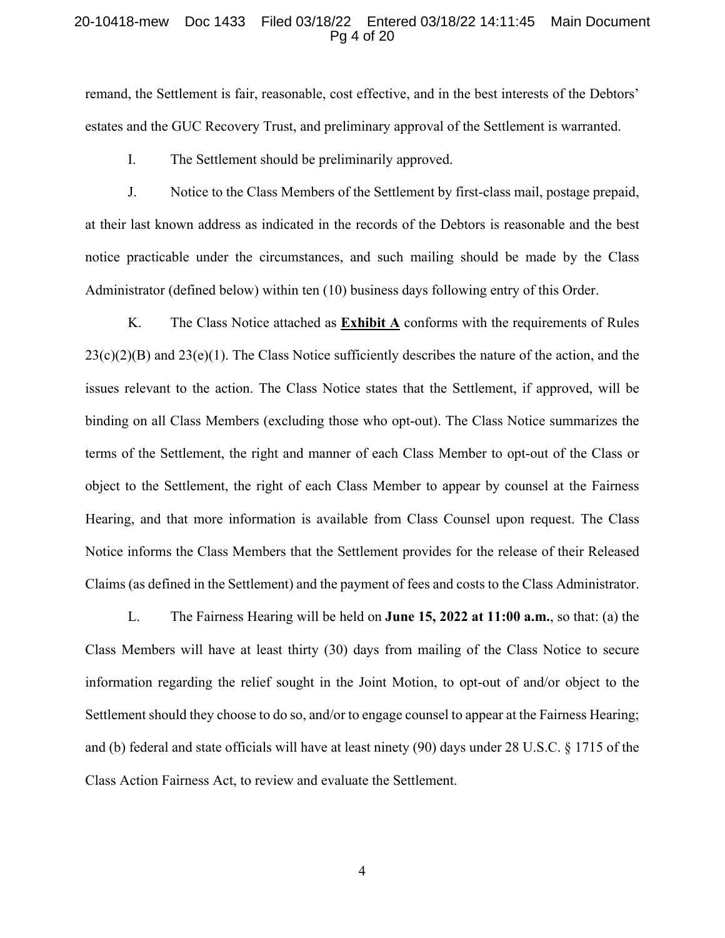#### 20-10418-mew Doc 1433 Filed 03/18/22 Entered 03/18/22 14:11:45 Main Document Pg 4 of 20

remand, the Settlement is fair, reasonable, cost effective, and in the best interests of the Debtors' estates and the GUC Recovery Trust, and preliminary approval of the Settlement is warranted.

I. The Settlement should be preliminarily approved.

J. Notice to the Class Members of the Settlement by first-class mail, postage prepaid, at their last known address as indicated in the records of the Debtors is reasonable and the best notice practicable under the circumstances, and such mailing should be made by the Class Administrator (defined below) within ten (10) business days following entry of this Order.

K. The Class Notice attached as **Exhibit A** conforms with the requirements of Rules  $23(c)(2)(B)$  and  $23(e)(1)$ . The Class Notice sufficiently describes the nature of the action, and the issues relevant to the action. The Class Notice states that the Settlement, if approved, will be binding on all Class Members (excluding those who opt-out). The Class Notice summarizes the terms of the Settlement, the right and manner of each Class Member to opt-out of the Class or object to the Settlement, the right of each Class Member to appear by counsel at the Fairness Hearing, and that more information is available from Class Counsel upon request. The Class Notice informs the Class Members that the Settlement provides for the release of their Released Claims (as defined in the Settlement) and the payment of fees and costs to the Class Administrator.

L. The Fairness Hearing will be held on **June 15, 2022 at 11:00 a.m.**, so that: (a) the Class Members will have at least thirty (30) days from mailing of the Class Notice to secure information regarding the relief sought in the Joint Motion, to opt-out of and/or object to the Settlement should they choose to do so, and/or to engage counsel to appear at the Fairness Hearing; and (b) federal and state officials will have at least ninety (90) days under 28 U.S.C. § 1715 of the Class Action Fairness Act, to review and evaluate the Settlement.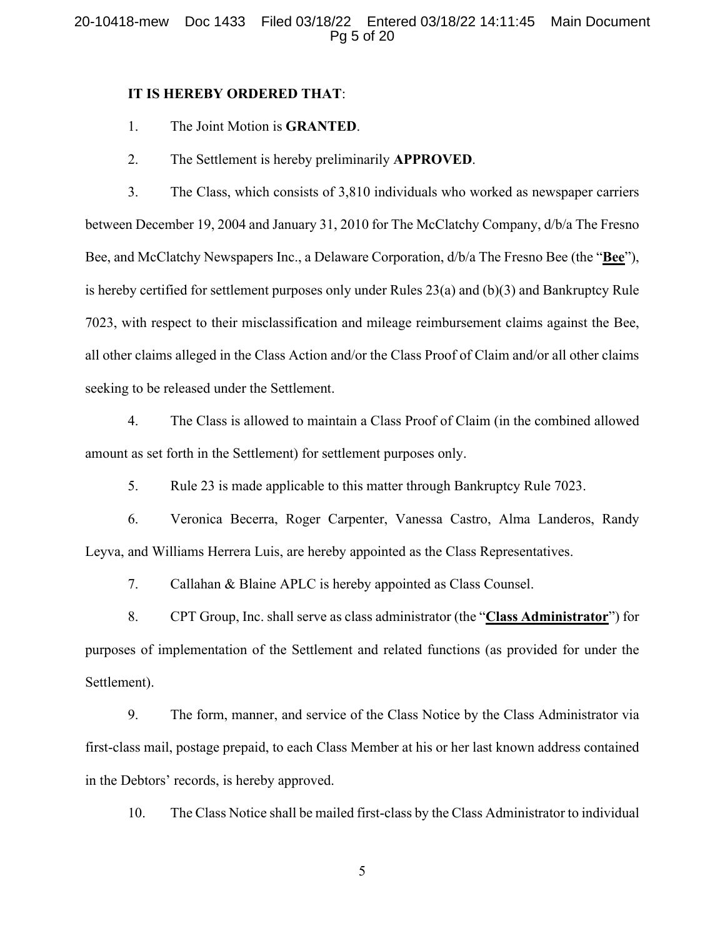#### 20-10418-mew Doc 1433 Filed 03/18/22 Entered 03/18/22 14:11:45 Main Document Pg 5 of 20

#### **IT IS HEREBY ORDERED THAT**:

- 1. The Joint Motion is **GRANTED**.
- 2. The Settlement is hereby preliminarily **APPROVED**.

3. The Class, which consists of 3,810 individuals who worked as newspaper carriers between December 19, 2004 and January 31, 2010 for The McClatchy Company, d/b/a The Fresno Bee, and McClatchy Newspapers Inc., a Delaware Corporation, d/b/a The Fresno Bee (the "**Bee**"), is hereby certified for settlement purposes only under Rules 23(a) and (b)(3) and Bankruptcy Rule 7023, with respect to their misclassification and mileage reimbursement claims against the Bee, all other claims alleged in the Class Action and/or the Class Proof of Claim and/or all other claims seeking to be released under the Settlement.

4. The Class is allowed to maintain a Class Proof of Claim (in the combined allowed amount as set forth in the Settlement) for settlement purposes only.

5. Rule 23 is made applicable to this matter through Bankruptcy Rule 7023.

6. Veronica Becerra, Roger Carpenter, Vanessa Castro, Alma Landeros, Randy Leyva, and Williams Herrera Luis, are hereby appointed as the Class Representatives.

7. Callahan & Blaine APLC is hereby appointed as Class Counsel.

8. CPT Group, Inc. shall serve as class administrator (the "**Class Administrator**") for purposes of implementation of the Settlement and related functions (as provided for under the Settlement).

9. The form, manner, and service of the Class Notice by the Class Administrator via first-class mail, postage prepaid, to each Class Member at his or her last known address contained in the Debtors' records, is hereby approved.

10. The Class Notice shall be mailed first-class by the Class Administrator to individual

5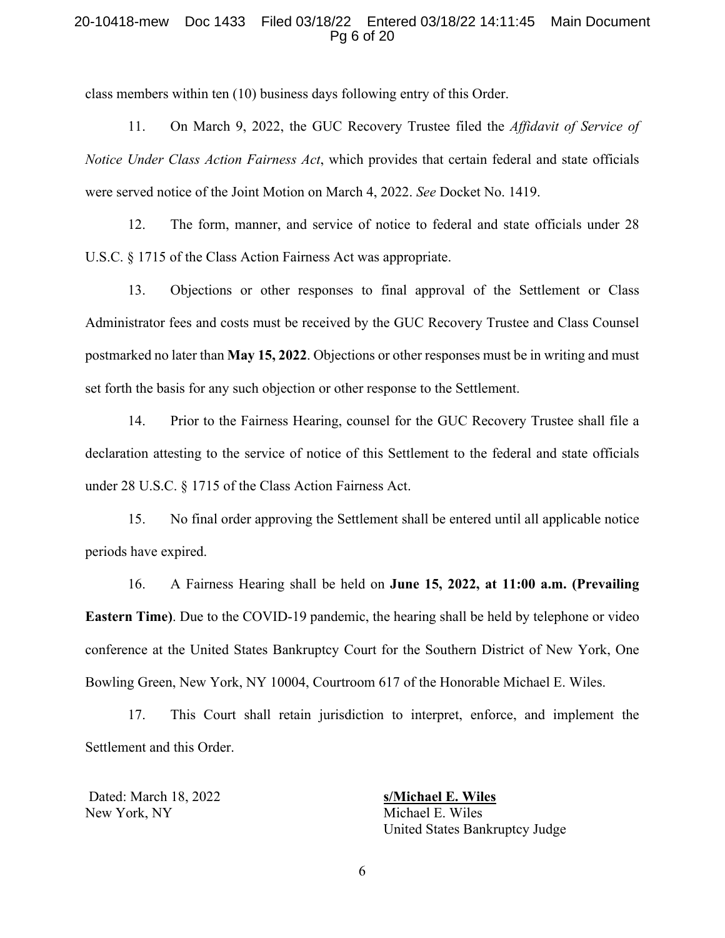#### 20-10418-mew Doc 1433 Filed 03/18/22 Entered 03/18/22 14:11:45 Main Document Pg 6 of 20

class members within ten (10) business days following entry of this Order.

11. On March 9, 2022, the GUC Recovery Trustee filed the *Affidavit of Service of Notice Under Class Action Fairness Act*, which provides that certain federal and state officials were served notice of the Joint Motion on March 4, 2022. *See* Docket No. 1419.

12. The form, manner, and service of notice to federal and state officials under 28 U.S.C. § 1715 of the Class Action Fairness Act was appropriate.

13. Objections or other responses to final approval of the Settlement or Class Administrator fees and costs must be received by the GUC Recovery Trustee and Class Counsel postmarked no later than **May 15, 2022**. Objections or other responses must be in writing and must set forth the basis for any such objection or other response to the Settlement.

14. Prior to the Fairness Hearing, counsel for the GUC Recovery Trustee shall file a declaration attesting to the service of notice of this Settlement to the federal and state officials under 28 U.S.C. § 1715 of the Class Action Fairness Act.

15. No final order approving the Settlement shall be entered until all applicable notice periods have expired.

16. A Fairness Hearing shall be held on **June 15, 2022, at 11:00 a.m. (Prevailing Eastern Time)**. Due to the COVID-19 pandemic, the hearing shall be held by telephone or video conference at the United States Bankruptcy Court for the Southern District of New York, One Bowling Green, New York, NY 10004, Courtroom 617 of the Honorable Michael E. Wiles.

17. This Court shall retain jurisdiction to interpret, enforce, and implement the Settlement and this Order.

 Dated: March 18, 2022 **s/Michael E. Wiles** New York, NY Michael E. Wiles

United States Bankruptcy Judge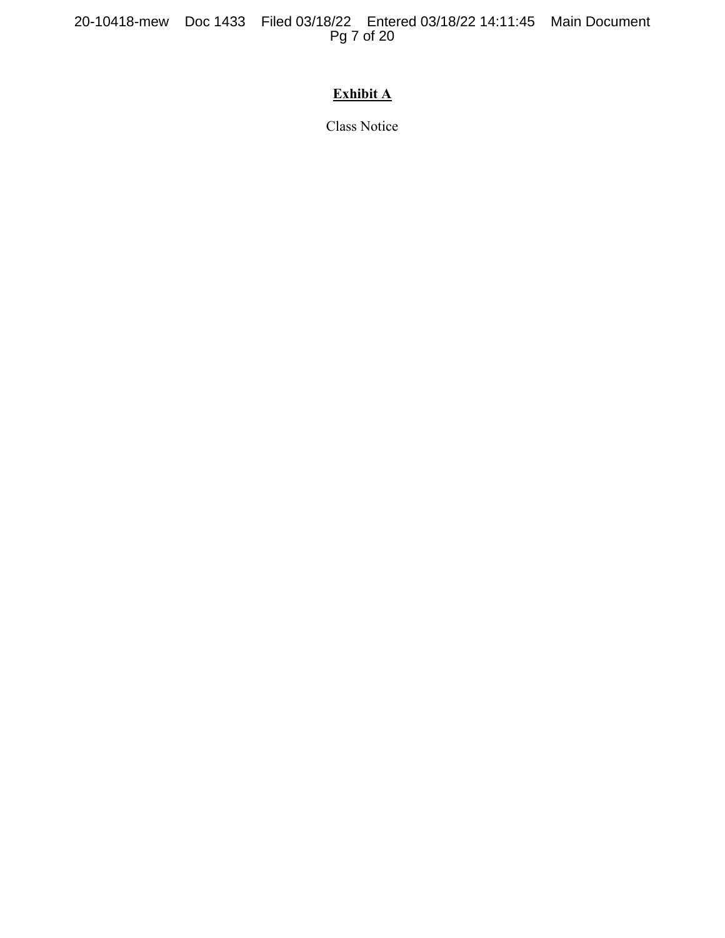20-10418-mew Doc 1433 Filed 03/18/22 Entered 03/18/22 14:11:45 Main Document Pg 7 of 20

# **Exhibit A**

Class Notice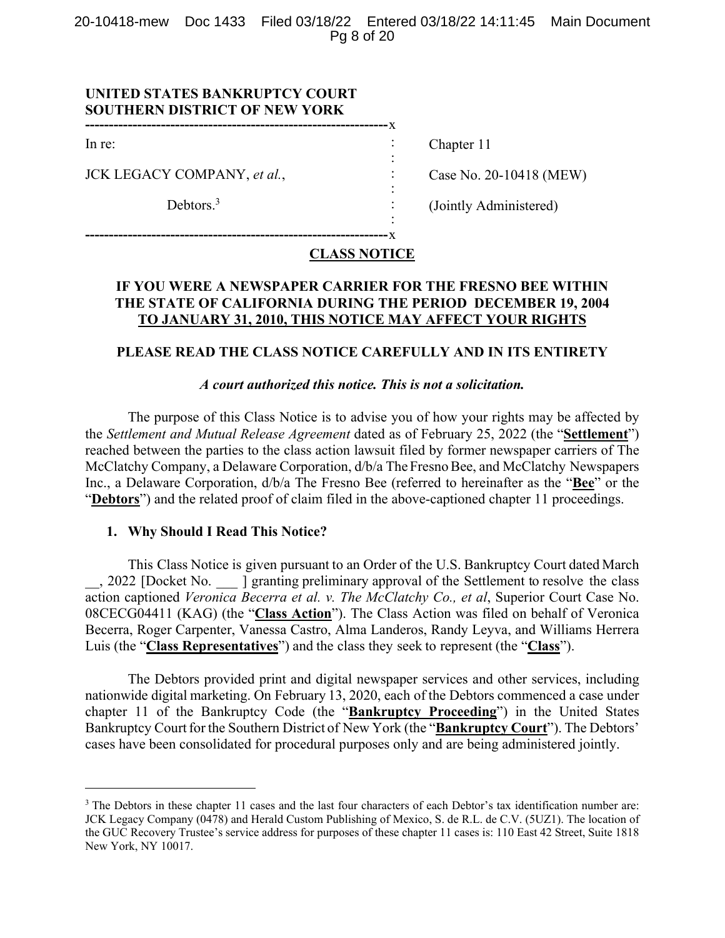20-10418-mew Doc 1433 Filed 03/18/22 Entered 03/18/22 14:11:45 Main Document Pg 8 of 20

> : : : : : :

## **UNITED STATES BANKRUPTCY COURT SOUTHERN DISTRICT OF NEW YORK**

In re:

JCK LEGACY COMPANY, *et al.*,

Debtors.<sup>3</sup>

Chapter 11

Case No. 20-10418 (MEW)

(Jointly Administered)

**----------------------------------------------------------------** x

**----------------------------------------------------------------** x

# **CLASS NOTICE**

# **IF YOU WERE A NEWSPAPER CARRIER FOR THE FRESNO BEE WITHIN THE STATE OF CALIFORNIA DURING THE PERIOD DECEMBER 19, 2004 TO JANUARY 31, 2010, THIS NOTICE MAY AFFECT YOUR RIGHTS**

# **PLEASE READ THE CLASS NOTICE CAREFULLY AND IN ITS ENTIRETY**

# *A court authorized this notice. This is not a solicitation.*

The purpose of this Class Notice is to advise you of how your rights may be affected by the *Settlement and Mutual Release Agreement* dated as of February 25, 2022 (the "**Settlement**") reached between the parties to the class action lawsuit filed by former newspaper carriers of The McClatchy Company, a Delaware Corporation, d/b/a The Fresno Bee, and McClatchy Newspapers Inc., a Delaware Corporation, d/b/a The Fresno Bee (referred to hereinafter as the "**Bee**" or the "**Debtors**") and the related proof of claim filed in the above-captioned chapter 11 proceedings.

#### **1. Why Should I Read This Notice?**

This Class Notice is given pursuant to an Order of the U.S. Bankruptcy Court dated March \_\_, 2022 [Docket No. \_\_ ] granting preliminary approval of the Settlement to resolve the class action captioned *Veronica Becerra et al. v. The McClatchy Co., et al*, Superior Court Case No. 08CECG04411 (KAG) (the "**Class Action**"). The Class Action was filed on behalf of Veronica Becerra, Roger Carpenter, Vanessa Castro, Alma Landeros, Randy Leyva, and Williams Herrera Luis (the "**Class Representatives**") and the class they seek to represent (the "**Class**").

The Debtors provided print and digital newspaper services and other services, including nationwide digital marketing. On February 13, 2020, each of the Debtors commenced a case under chapter 11 of the Bankruptcy Code (the "**Bankruptcy Proceeding**") in the United States Bankruptcy Court for the Southern District of New York (the "**Bankruptcy Court**"). The Debtors' cases have been consolidated for procedural purposes only and are being administered jointly.

<sup>&</sup>lt;sup>3</sup> The Debtors in these chapter 11 cases and the last four characters of each Debtor's tax identification number are: JCK Legacy Company (0478) and Herald Custom Publishing of Mexico, S. de R.L. de C.V. (5UZ1). The location of the GUC Recovery Trustee's service address for purposes of these chapter 11 cases is: 110 East 42 Street, Suite 1818 New York, NY 10017.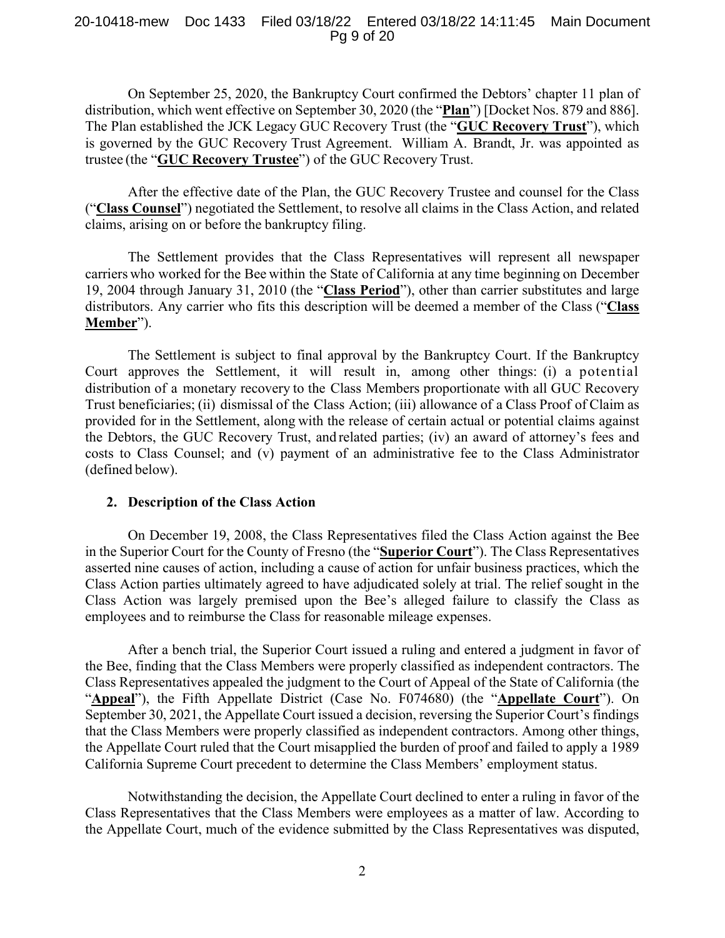## 20-10418-mew Doc 1433 Filed 03/18/22 Entered 03/18/22 14:11:45 Main Document Pg 9 of 20

On September 25, 2020, the Bankruptcy Court confirmed the Debtors' chapter 11 plan of distribution, which went effective on September 30, 2020 (the "**Plan**") [Docket Nos. 879 and 886]. The Plan established the JCK Legacy GUC Recovery Trust (the "**GUC Recovery Trust**"), which is governed by the GUC Recovery Trust Agreement. William A. Brandt, Jr. was appointed as trustee (the "**GUC Recovery Trustee**") of the GUC Recovery Trust.

After the effective date of the Plan, the GUC Recovery Trustee and counsel for the Class ("**Class Counsel**") negotiated the Settlement, to resolve all claims in the Class Action, and related claims, arising on or before the bankruptcy filing.

The Settlement provides that the Class Representatives will represent all newspaper carriers who worked for the Bee within the State of California at any time beginning on December 19, 2004 through January 31, 2010 (the "**Class Period**"), other than carrier substitutes and large distributors. Any carrier who fits this description will be deemed a member of the Class ("**Class Member**").

The Settlement is subject to final approval by the Bankruptcy Court. If the Bankruptcy Court approves the Settlement, it will result in, among other things: (i) a potential distribution of a monetary recovery to the Class Members proportionate with all GUC Recovery Trust beneficiaries; (ii) dismissal of the Class Action; (iii) allowance of a Class Proof of Claim as provided for in the Settlement, along with the release of certain actual or potential claims against the Debtors, the GUC Recovery Trust, and related parties; (iv) an award of attorney's fees and costs to Class Counsel; and (v) payment of an administrative fee to the Class Administrator (defined below).

### **2. Description of the Class Action**

On December 19, 2008, the Class Representatives filed the Class Action against the Bee in the Superior Court for the County of Fresno (the "**Superior Court**"). The Class Representatives asserted nine causes of action, including a cause of action for unfair business practices, which the Class Action parties ultimately agreed to have adjudicated solely at trial. The relief sought in the Class Action was largely premised upon the Bee's alleged failure to classify the Class as employees and to reimburse the Class for reasonable mileage expenses.

After a bench trial, the Superior Court issued a ruling and entered a judgment in favor of the Bee, finding that the Class Members were properly classified as independent contractors. The Class Representatives appealed the judgment to the Court of Appeal of the State of California (the "**Appeal**"), the Fifth Appellate District (Case No. F074680) (the "**Appellate Court**"). On September 30, 2021, the Appellate Court issued a decision, reversing the Superior Court's findings that the Class Members were properly classified as independent contractors. Among other things, the Appellate Court ruled that the Court misapplied the burden of proof and failed to apply a 1989 California Supreme Court precedent to determine the Class Members' employment status.

Notwithstanding the decision, the Appellate Court declined to enter a ruling in favor of the Class Representatives that the Class Members were employees as a matter of law. According to the Appellate Court, much of the evidence submitted by the Class Representatives was disputed,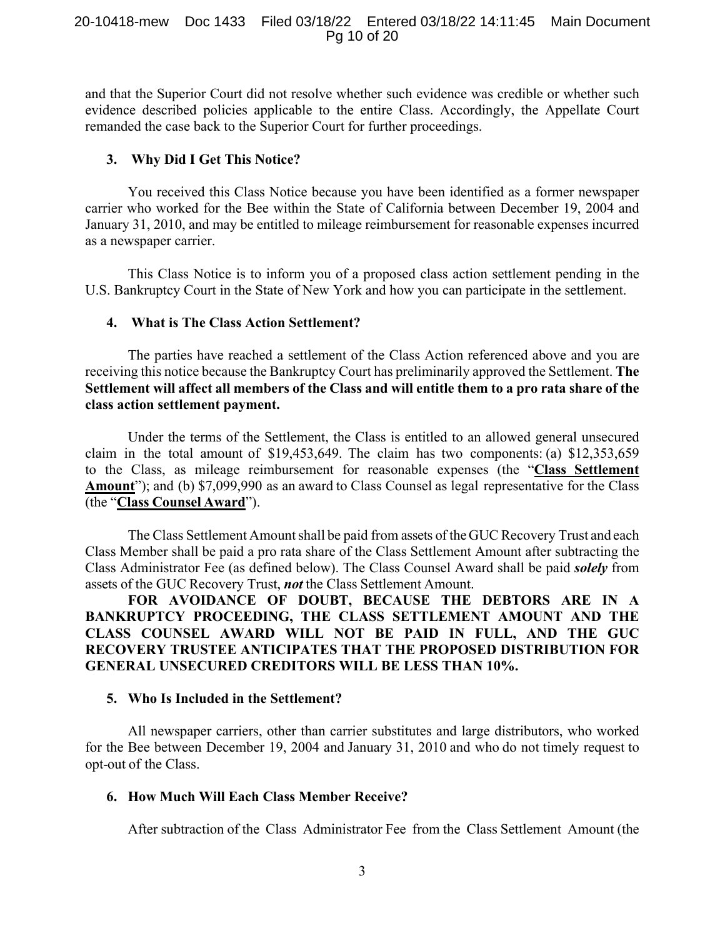### 20-10418-mew Doc 1433 Filed 03/18/22 Entered 03/18/22 14:11:45 Main Document Pg 10 of 20

and that the Superior Court did not resolve whether such evidence was credible or whether such evidence described policies applicable to the entire Class. Accordingly, the Appellate Court remanded the case back to the Superior Court for further proceedings.

## **3. Why Did I Get This Notice?**

You received this Class Notice because you have been identified as a former newspaper carrier who worked for the Bee within the State of California between December 19, 2004 and January 31, 2010, and may be entitled to mileage reimbursement for reasonable expenses incurred as a newspaper carrier.

This Class Notice is to inform you of a proposed class action settlement pending in the U.S. Bankruptcy Court in the State of New York and how you can participate in the settlement.

### **4. What is The Class Action Settlement?**

The parties have reached a settlement of the Class Action referenced above and you are receiving this notice because the Bankruptcy Court has preliminarily approved the Settlement. **The Settlement will affect all members of the Class and will entitle them to a pro rata share of the class action settlement payment.**

Under the terms of the Settlement, the Class is entitled to an allowed general unsecured claim in the total amount of \$19,453,649. The claim has two components: (a) \$12,353,659 to the Class, as mileage reimbursement for reasonable expenses (the "**Class Settlement Amount**"); and (b) \$7,099,990 as an award to Class Counsel as legal representative for the Class (the "**Class Counsel Award**").

The Class Settlement Amount shall be paid from assets of the GUC Recovery Trust and each Class Member shall be paid a pro rata share of the Class Settlement Amount after subtracting the Class Administrator Fee (as defined below). The Class Counsel Award shall be paid *solely* from assets of the GUC Recovery Trust, *not* the Class Settlement Amount.

**FOR AVOIDANCE OF DOUBT, BECAUSE THE DEBTORS ARE IN A BANKRUPTCY PROCEEDING, THE CLASS SETTLEMENT AMOUNT AND THE CLASS COUNSEL AWARD WILL NOT BE PAID IN FULL, AND THE GUC RECOVERY TRUSTEE ANTICIPATES THAT THE PROPOSED DISTRIBUTION FOR GENERAL UNSECURED CREDITORS WILL BE LESS THAN 10%.** 

# **5. Who Is Included in the Settlement?**

All newspaper carriers, other than carrier substitutes and large distributors, who worked for the Bee between December 19, 2004 and January 31, 2010 and who do not timely request to opt-out of the Class.

## **6. How Much Will Each Class Member Receive?**

After subtraction of the Class Administrator Fee from the Class Settlement Amount (the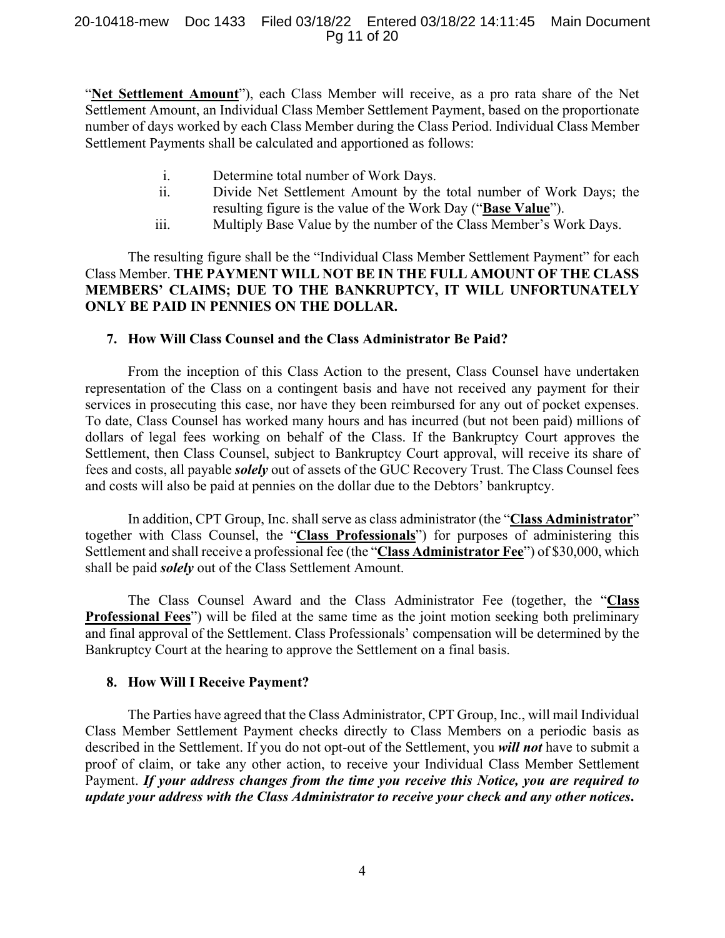## 20-10418-mew Doc 1433 Filed 03/18/22 Entered 03/18/22 14:11:45 Main Document Pg 11 of 20

"**Net Settlement Amount**"), each Class Member will receive, as a pro rata share of the Net Settlement Amount, an Individual Class Member Settlement Payment, based on the proportionate number of days worked by each Class Member during the Class Period. Individual Class Member Settlement Payments shall be calculated and apportioned as follows:

- i. Determine total number of Work Days.
- ii. Divide Net Settlement Amount by the total number of Work Days; the resulting figure is the value of the Work Day ("**Base Value**").
- iii. Multiply Base Value by the number of the Class Member's Work Days.

The resulting figure shall be the "Individual Class Member Settlement Payment" for each Class Member. **THE PAYMENT WILL NOT BE IN THE FULL AMOUNT OF THE CLASS MEMBERS' CLAIMS; DUE TO THE BANKRUPTCY, IT WILL UNFORTUNATELY ONLY BE PAID IN PENNIES ON THE DOLLAR.** 

# **7. How Will Class Counsel and the Class Administrator Be Paid?**

From the inception of this Class Action to the present, Class Counsel have undertaken representation of the Class on a contingent basis and have not received any payment for their services in prosecuting this case, nor have they been reimbursed for any out of pocket expenses. To date, Class Counsel has worked many hours and has incurred (but not been paid) millions of dollars of legal fees working on behalf of the Class. If the Bankruptcy Court approves the Settlement, then Class Counsel, subject to Bankruptcy Court approval, will receive its share of fees and costs, all payable *solely* out of assets of the GUC Recovery Trust. The Class Counsel fees and costs will also be paid at pennies on the dollar due to the Debtors' bankruptcy.

In addition, CPT Group, Inc. shall serve as class administrator (the "**Class Administrator**" together with Class Counsel, the "**Class Professionals**") for purposes of administering this Settlement and shall receive a professional fee (the "**Class Administrator Fee**") of \$30,000, which shall be paid *solely* out of the Class Settlement Amount.

The Class Counsel Award and the Class Administrator Fee (together, the "**Class Professional Fees**") will be filed at the same time as the joint motion seeking both preliminary and final approval of the Settlement. Class Professionals' compensation will be determined by the Bankruptcy Court at the hearing to approve the Settlement on a final basis.

### **8. How Will I Receive Payment?**

The Parties have agreed that the Class Administrator, CPT Group, Inc., will mail Individual Class Member Settlement Payment checks directly to Class Members on a periodic basis as described in the Settlement. If you do not opt-out of the Settlement, you *will not* have to submit a proof of claim, or take any other action, to receive your Individual Class Member Settlement Payment. *If your address changes from the time you receive this Notice, you are required to update your address with the Class Administrator to receive your check and any other notices***.**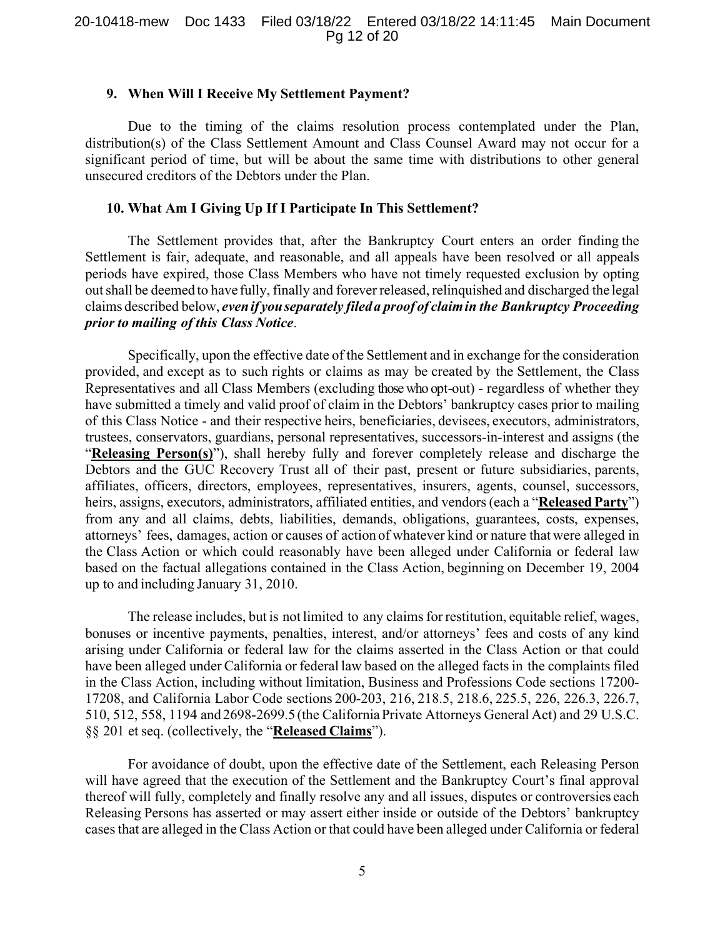#### **9. When Will I Receive My Settlement Payment?**

Due to the timing of the claims resolution process contemplated under the Plan, distribution(s) of the Class Settlement Amount and Class Counsel Award may not occur for a significant period of time, but will be about the same time with distributions to other general unsecured creditors of the Debtors under the Plan.

# **10. What Am I Giving Up If I Participate In This Settlement?**

The Settlement provides that, after the Bankruptcy Court enters an order finding the Settlement is fair, adequate, and reasonable, and all appeals have been resolved or all appeals periods have expired, those Class Members who have not timely requested exclusion by opting out shall be deemed to have fully, finally and forever released, relinquished and discharged the legal claims described below, *even if you separately filed a proof of claim in the Bankruptcy Proceeding prior to mailing of this Class Notice*.

Specifically, upon the effective date of the Settlement and in exchange for the consideration provided, and except as to such rights or claims as may be created by the Settlement, the Class Representatives and all Class Members (excluding those who opt-out) - regardless of whether they have submitted a timely and valid proof of claim in the Debtors' bankruptcy cases prior to mailing of this Class Notice - and their respective heirs, beneficiaries, devisees, executors, administrators, trustees, conservators, guardians, personal representatives, successors-in-interest and assigns (the "**Releasing Person(s)**"), shall hereby fully and forever completely release and discharge the Debtors and the GUC Recovery Trust all of their past, present or future subsidiaries, parents, affiliates, officers, directors, employees, representatives, insurers, agents, counsel, successors, heirs, assigns, executors, administrators, affiliated entities, and vendors (each a "**Released Party**") from any and all claims, debts, liabilities, demands, obligations, guarantees, costs, expenses, attorneys' fees, damages, action or causes of action of whatever kind or nature that were alleged in the Class Action or which could reasonably have been alleged under California or federal law based on the factual allegations contained in the Class Action, beginning on December 19, 2004 up to and including January 31, 2010.

The release includes, but is not limited to any claims for restitution, equitable relief, wages, bonuses or incentive payments, penalties, interest, and/or attorneys' fees and costs of any kind arising under California or federal law for the claims asserted in the Class Action or that could have been alleged under California or federal law based on the alleged facts in the complaints filed in the Class Action, including without limitation, Business and Professions Code sections 17200- 17208, and California Labor Code sections 200-203, 216, 218.5, 218.6, 225.5, 226, 226.3, 226.7, 510, 512, 558, 1194 and 2698-2699.5 (the California Private Attorneys General Act) and 29 U.S.C. §§ 201 et seq. (collectively, the "**Released Claims**").

For avoidance of doubt, upon the effective date of the Settlement, each Releasing Person will have agreed that the execution of the Settlement and the Bankruptcy Court's final approval thereof will fully, completely and finally resolve any and all issues, disputes or controversies each Releasing Persons has asserted or may assert either inside or outside of the Debtors' bankruptcy cases that are alleged in the Class Action or that could have been alleged under California or federal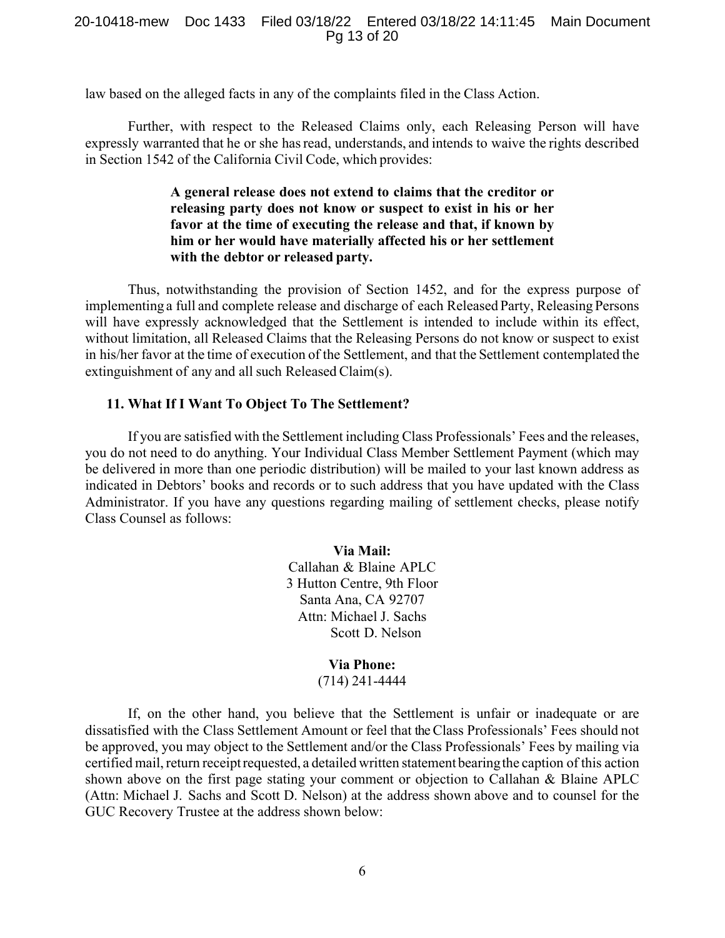#### 20-10418-mew Doc 1433 Filed 03/18/22 Entered 03/18/22 14:11:45 Main Document Pg 13 of 20

law based on the alleged facts in any of the complaints filed in the Class Action.

Further, with respect to the Released Claims only, each Releasing Person will have expressly warranted that he or she has read, understands, and intends to waive the rights described in Section 1542 of the California Civil Code, which provides:

# **A general release does not extend to claims that the creditor or releasing party does not know or suspect to exist in his or her favor at the time of executing the release and that, if known by him or her would have materially affected his or her settlement with the debtor or released party.**

Thus, notwithstanding the provision of Section 1452, and for the express purpose of implementing a full and complete release and discharge of each Released Party, Releasing Persons will have expressly acknowledged that the Settlement is intended to include within its effect, without limitation, all Released Claims that the Releasing Persons do not know or suspect to exist in his/her favor at the time of execution of the Settlement, and that the Settlement contemplated the extinguishment of any and all such Released Claim(s).

## **11. What If I Want To Object To The Settlement?**

If you are satisfied with the Settlement including Class Professionals' Fees and the releases, you do not need to do anything. Your Individual Class Member Settlement Payment (which may be delivered in more than one periodic distribution) will be mailed to your last known address as indicated in Debtors' books and records or to such address that you have updated with the Class Administrator. If you have any questions regarding mailing of settlement checks, please notify Class Counsel as follows:

#### **Via Mail:**

Callahan & Blaine APLC 3 Hutton Centre, 9th Floor Santa Ana, CA 92707 Attn: Michael J. Sachs Scott D. Nelson

# **Via Phone:**

# (714) 241-4444

If, on the other hand, you believe that the Settlement is unfair or inadequate or are dissatisfied with the Class Settlement Amount or feel that the Class Professionals' Fees should not be approved, you may object to the Settlement and/or the Class Professionals' Fees by mailing via certified mail, return receipt requested, a detailed written statement bearing the caption of this action shown above on the first page stating your comment or objection to Callahan & Blaine APLC (Attn: Michael J. Sachs and Scott D. Nelson) at the address shown above and to counsel for the GUC Recovery Trustee at the address shown below: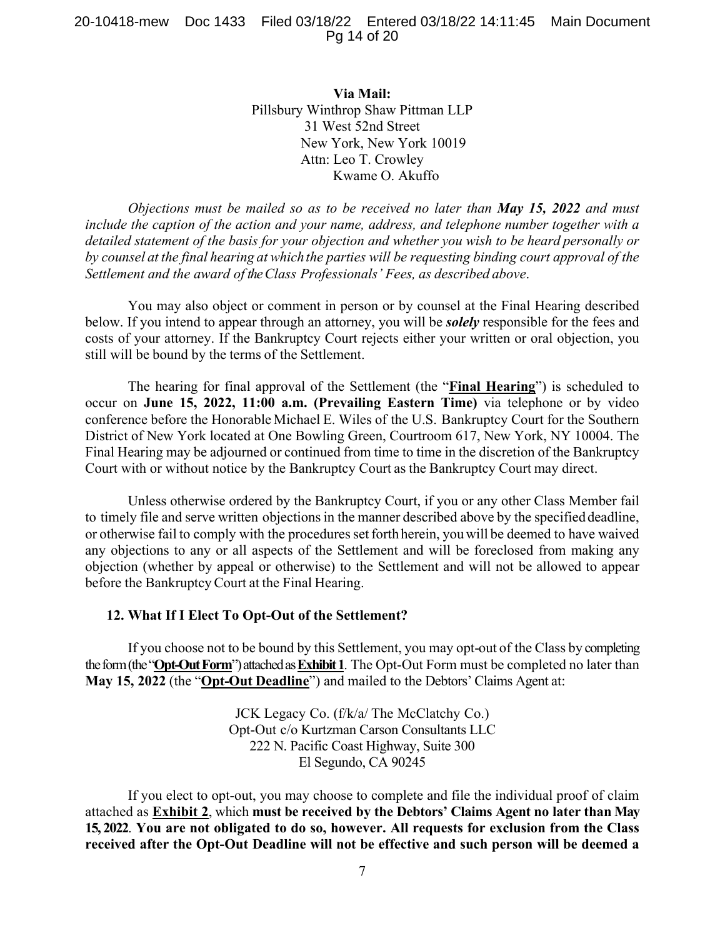## 20-10418-mew Doc 1433 Filed 03/18/22 Entered 03/18/22 14:11:45 Main Document Pg 14 of 20

**Via Mail:**  Pillsbury Winthrop Shaw Pittman LLP 31 West 52nd Street New York, New York 10019 Attn: Leo T. Crowley Kwame O. Akuffo

*Objections must be mailed so as to be received no later than May 15, 2022 and must include the caption of the action and your name, address, and telephone number together with a detailed statement of the basis for your objection and whether you wish to be heard personally or by counsel at the final hearing at which the parties will be requesting binding court approval of the Settlement and the award of the Class Professionals' Fees, as described above*.

You may also object or comment in person or by counsel at the Final Hearing described below. If you intend to appear through an attorney, you will be *solely* responsible for the fees and costs of your attorney. If the Bankruptcy Court rejects either your written or oral objection, you still will be bound by the terms of the Settlement.

The hearing for final approval of the Settlement (the "**Final Hearing**") is scheduled to occur on **June 15, 2022, 11:00 a.m. (Prevailing Eastern Time)** via telephone or by video conference before the Honorable Michael E. Wiles of the U.S. Bankruptcy Court for the Southern District of New York located at One Bowling Green, Courtroom 617, New York, NY 10004. The Final Hearing may be adjourned or continued from time to time in the discretion of the Bankruptcy Court with or without notice by the Bankruptcy Court as the Bankruptcy Court may direct.

Unless otherwise ordered by the Bankruptcy Court, if you or any other Class Member fail to timely file and serve written objections in the manner described above by the specified deadline, or otherwise fail to comply with the procedures set forth herein, you will be deemed to have waived any objections to any or all aspects of the Settlement and will be foreclosed from making any objection (whether by appeal or otherwise) to the Settlement and will not be allowed to appear before the Bankruptcy Court at the Final Hearing.

## **12. What If I Elect To Opt-Out of the Settlement?**

If you choose not to be bound by this Settlement, you may opt-out of the Class by completing the form (the "**Opt-Out Form**") attached as **Exhibit 1**. The Opt-Out Form must be completed no later than **May 15, 2022** (the "**Opt-Out Deadline**") and mailed to the Debtors' Claims Agent at:

> JCK Legacy Co. (f/k/a/ The McClatchy Co.) Opt-Out c/o Kurtzman Carson Consultants LLC 222 N. Pacific Coast Highway, Suite 300 El Segundo, CA 90245

If you elect to opt-out, you may choose to complete and file the individual proof of claim attached as **Exhibit 2**, which **must be received by the Debtors' Claims Agent no later than May 15, 2022**. **You are not obligated to do so, however. All requests for exclusion from the Class received after the Opt-Out Deadline will not be effective and such person will be deemed a**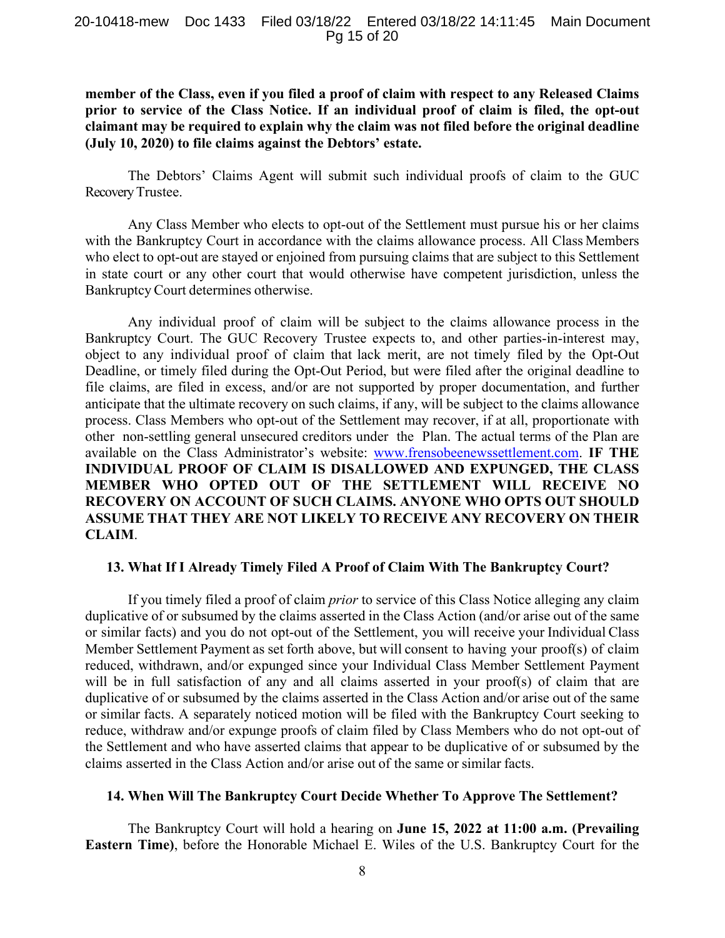**member of the Class, even if you filed a proof of claim with respect to any Released Claims prior to service of the Class Notice. If an individual proof of claim is filed, the opt-out claimant may be required to explain why the claim was not filed before the original deadline (July 10, 2020) to file claims against the Debtors' estate.** 

The Debtors' Claims Agent will submit such individual proofs of claim to the GUC Recovery Trustee.

Any Class Member who elects to opt-out of the Settlement must pursue his or her claims with the Bankruptcy Court in accordance with the claims allowance process. All Class Members who elect to opt-out are stayed or enjoined from pursuing claims that are subject to this Settlement in state court or any other court that would otherwise have competent jurisdiction, unless the Bankruptcy Court determines otherwise.

Any individual proof of claim will be subject to the claims allowance process in the Bankruptcy Court. The GUC Recovery Trustee expects to, and other parties-in-interest may, object to any individual proof of claim that lack merit, are not timely filed by the Opt-Out Deadline, or timely filed during the Opt-Out Period, but were filed after the original deadline to file claims, are filed in excess, and/or are not supported by proper documentation, and further anticipate that the ultimate recovery on such claims, if any, will be subject to the claims allowance process. Class Members who opt-out of the Settlement may recover, if at all, proportionate with other non-settling general unsecured creditors under the Plan. The actual terms of the Plan are available on the Class Administrator's website: www.frensobeenewssettlement.com. **IF THE INDIVIDUAL PROOF OF CLAIM IS DISALLOWED AND EXPUNGED, THE CLASS MEMBER WHO OPTED OUT OF THE SETTLEMENT WILL RECEIVE NO RECOVERY ON ACCOUNT OF SUCH CLAIMS. ANYONE WHO OPTS OUT SHOULD ASSUME THAT THEY ARE NOT LIKELY TO RECEIVE ANY RECOVERY ON THEIR CLAIM**.

## **13. What If I Already Timely Filed A Proof of Claim With The Bankruptcy Court?**

If you timely filed a proof of claim *prior* to service of this Class Notice alleging any claim duplicative of or subsumed by the claims asserted in the Class Action (and/or arise out of the same or similar facts) and you do not opt-out of the Settlement, you will receive your Individual Class Member Settlement Payment as set forth above, but will consent to having your proof(s) of claim reduced, withdrawn, and/or expunged since your Individual Class Member Settlement Payment will be in full satisfaction of any and all claims asserted in your proof(s) of claim that are duplicative of or subsumed by the claims asserted in the Class Action and/or arise out of the same or similar facts. A separately noticed motion will be filed with the Bankruptcy Court seeking to reduce, withdraw and/or expunge proofs of claim filed by Class Members who do not opt-out of the Settlement and who have asserted claims that appear to be duplicative of or subsumed by the claims asserted in the Class Action and/or arise out of the same or similar facts.

## **14. When Will The Bankruptcy Court Decide Whether To Approve The Settlement?**

The Bankruptcy Court will hold a hearing on **June 15, 2022 at 11:00 a.m. (Prevailing Eastern Time)**, before the Honorable Michael E. Wiles of the U.S. Bankruptcy Court for the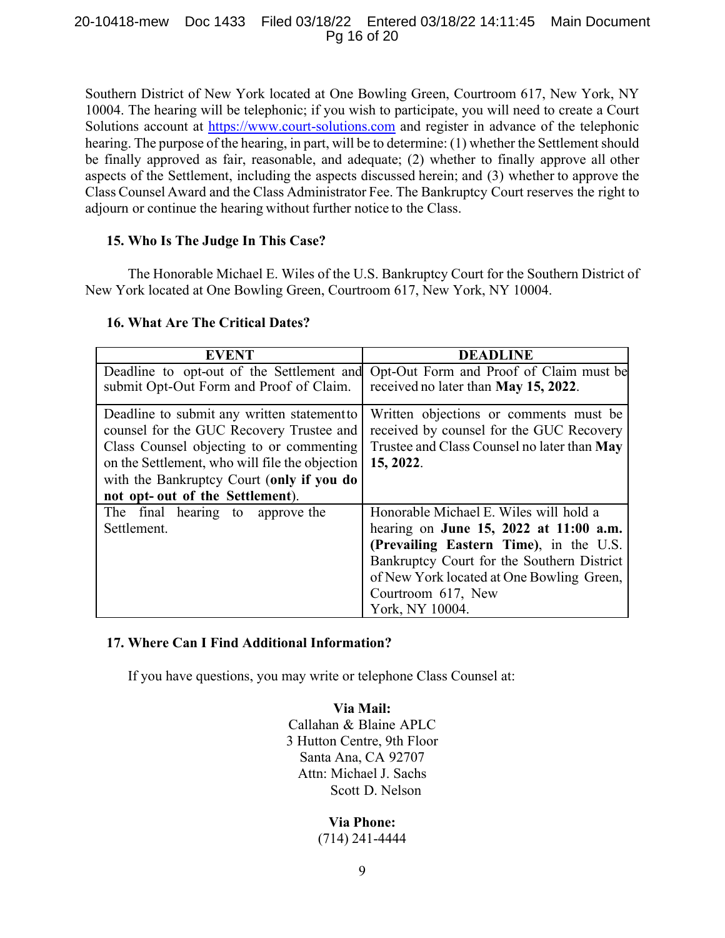### 20-10418-mew Doc 1433 Filed 03/18/22 Entered 03/18/22 14:11:45 Main Document Pg 16 of 20

Southern District of New York located at One Bowling Green, Courtroom 617, New York, NY 10004. The hearing will be telephonic; if you wish to participate, you will need to create a Court Solutions account at https://www.court-solutions.com and register in advance of the telephonic hearing. The purpose of the hearing, in part, will be to determine: (1) whether the Settlement should be finally approved as fair, reasonable, and adequate; (2) whether to finally approve all other aspects of the Settlement, including the aspects discussed herein; and (3) whether to approve the Class Counsel Award and the Class Administrator Fee. The Bankruptcy Court reserves the right to adjourn or continue the hearing without further notice to the Class.

# **15. Who Is The Judge In This Case?**

The Honorable Michael E. Wiles of the U.S. Bankruptcy Court for the Southern District of New York located at One Bowling Green, Courtroom 617, New York, NY 10004.

## **16. What Are The Critical Dates?**

| <b>EVENT</b>                                   | <b>DEADLINE</b>                                                                   |
|------------------------------------------------|-----------------------------------------------------------------------------------|
|                                                | Deadline to opt-out of the Settlement and Opt-Out Form and Proof of Claim must be |
| submit Opt-Out Form and Proof of Claim.        | received no later than May 15, 2022.                                              |
| Deadline to submit any written statement to    | Written objections or comments must be                                            |
| counsel for the GUC Recovery Trustee and       | received by counsel for the GUC Recovery                                          |
| Class Counsel objecting to or commenting       | Trustee and Class Counsel no later than May                                       |
| on the Settlement, who will file the objection | 15, 2022.                                                                         |
| with the Bankruptcy Court (only if you do      |                                                                                   |
| not opt- out of the Settlement).               |                                                                                   |
| The final hearing to approve the               | Honorable Michael E. Wiles will hold a                                            |
| Settlement.                                    | hearing on June 15, 2022 at 11:00 a.m.                                            |
|                                                | (Prevailing Eastern Time), in the U.S.                                            |
|                                                | Bankruptcy Court for the Southern District                                        |
|                                                | of New York located at One Bowling Green,                                         |
|                                                | Courtroom 617, New                                                                |
|                                                | York, NY 10004.                                                                   |

# **17. Where Can I Find Additional Information?**

If you have questions, you may write or telephone Class Counsel at:

**Via Mail:**  Callahan & Blaine APLC 3 Hutton Centre, 9th Floor Santa Ana, CA 92707 Attn: Michael J. Sachs Scott D. Nelson

> **Via Phone:**  (714) 241-4444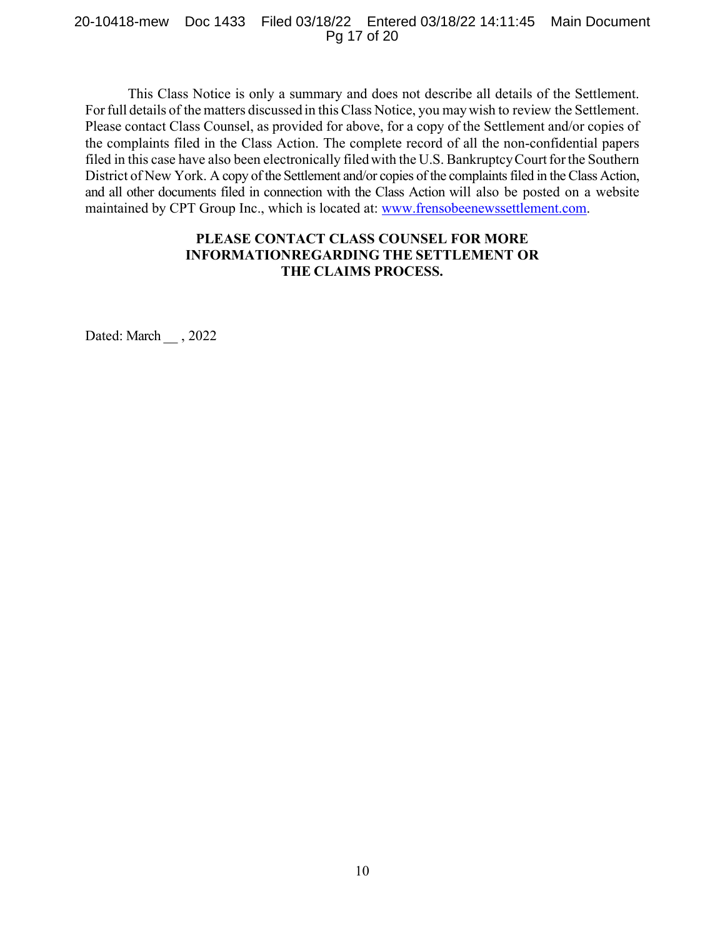#### 20-10418-mew Doc 1433 Filed 03/18/22 Entered 03/18/22 14:11:45 Main Document Pg 17 of 20

This Class Notice is only a summary and does not describe all details of the Settlement. For full details of the matters discussed in this Class Notice, you may wish to review the Settlement. Please contact Class Counsel, as provided for above, for a copy of the Settlement and/or copies of the complaints filed in the Class Action. The complete record of all the non-confidential papers filed in this case have also been electronically filed with the U.S. Bankruptcy Court for the Southern District of New York. A copy of the Settlement and/or copies of the complaints filed in the Class Action, and all other documents filed in connection with the Class Action will also be posted on a website maintained by CPT Group Inc., which is located at: www.frensobeenewssettlement.com.

# **PLEASE CONTACT CLASS COUNSEL FOR MORE INFORMATIONREGARDING THE SETTLEMENT OR THE CLAIMS PROCESS.**

Dated: March , 2022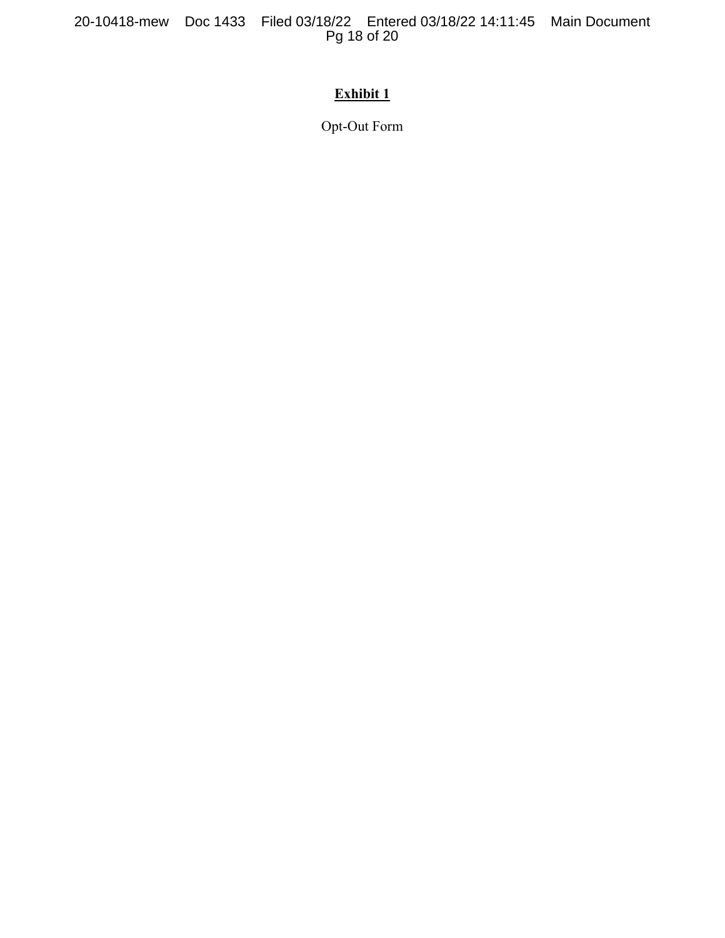20-10418-mew Doc 1433 Filed 03/18/22 Entered 03/18/22 14:11:45 Main Document Pg 18 of 20

# **Exhibit 1**

Opt-Out Form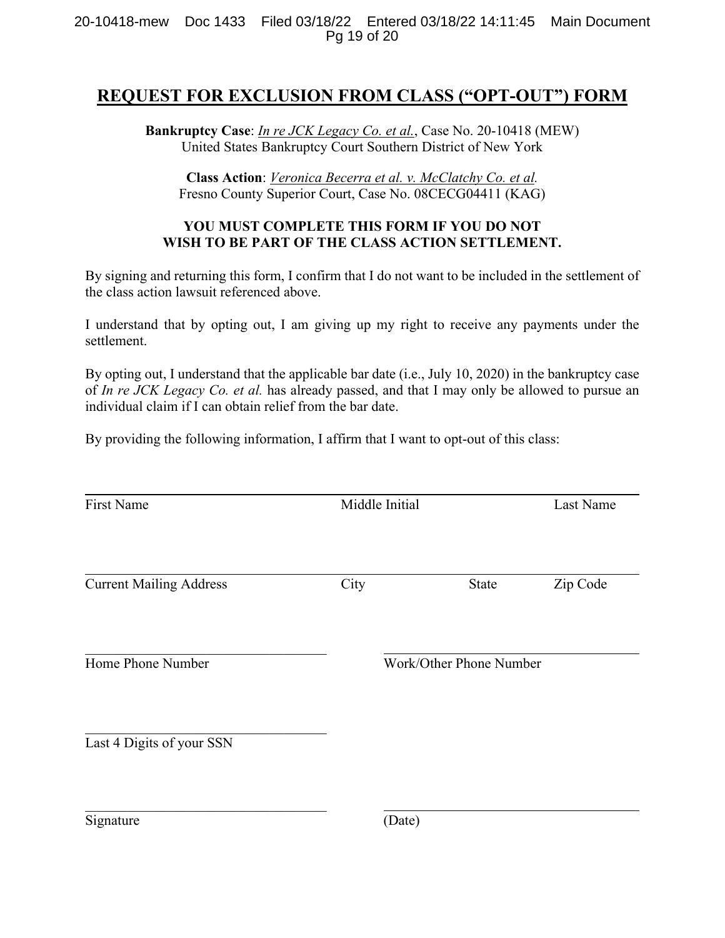# **REQUEST FOR EXCLUSION FROM CLASS ("OPT-OUT") FORM**

**Bankruptcy Case**: *In re JCK Legacy Co. et al.*, Case No. 20-10418 (MEW) United States Bankruptcy Court Southern District of New York

**Class Action**: *Veronica Becerra et al. v. McClatchy Co. et al.* Fresno County Superior Court, Case No. 08CECG04411 (KAG)

# **YOU MUST COMPLETE THIS FORM IF YOU DO NOT WISH TO BE PART OF THE CLASS ACTION SETTLEMENT.**

By signing and returning this form, I confirm that I do not want to be included in the settlement of the class action lawsuit referenced above.

I understand that by opting out, I am giving up my right to receive any payments under the settlement.

By opting out, I understand that the applicable bar date (i.e., July 10, 2020) in the bankruptcy case of *In re JCK Legacy Co. et al.* has already passed, and that I may only be allowed to pursue an individual claim if I can obtain relief from the bar date.

By providing the following information, I affirm that I want to opt-out of this class:

| <b>First Name</b>              |        | Middle Initial          |          |  |  |
|--------------------------------|--------|-------------------------|----------|--|--|
| <b>Current Mailing Address</b> | City   | State                   | Zip Code |  |  |
| Home Phone Number              |        | Work/Other Phone Number |          |  |  |
| Last 4 Digits of your SSN      |        |                         |          |  |  |
| Signature                      | (Date) |                         |          |  |  |